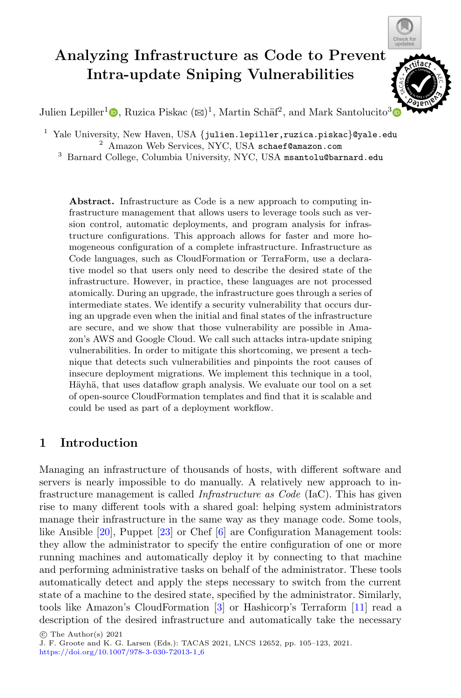# Analyzing Infrastructure as Code to Prevent Intra-update Sniping Vulnerabilities



Julien Lepiller<sup>1</sup><sup>®</sup>[,](http://orcid.org/0000-0003-2284-5488) Ruzica Piskac ( $\boxtimes$ )<sup>1</sup>, Martin Schäf<sup>2</sup>, and Mark Santolucito<sup>3</sup>

<sup>1</sup> Yale University, New Haven, USA {julien.lepiller, ruzica.piskac}@yale.edu <sup>2</sup> Amazon Web Services, NYC, USA schaef@amazon.com

<sup>3</sup> Barnard College, Columbia University, NYC, USA msantolu@barnard.edu

Abstract. Infrastructure as Code is a new approach to computing infrastructure management that allows users to leverage tools such as version control, automatic deployments, and program analysis for infrastructure configurations. This approach allows for faster and more homogeneous configuration of a complete infrastructure. Infrastructure as Code languages, such as CloudFormation or TerraForm, use a declarative model so that users only need to describe the desired state of the infrastructure. However, in practice, these languages are not processed atomically. During an upgrade, the infrastructure goes through a series of intermediate states. We identify a security vulnerability that occurs during an upgrade even when the initial and final states of the infrastructure are secure, and we show that those vulnerability are possible in Amazon's AWS and Google Cloud. We call such attacks intra-update sniping vulnerabilities. In order to mitigate this shortcoming, we present a technique that detects such vulnerabilities and pinpoints the root causes of insecure deployment migrations. We implement this technique in a tool, Häyhä, that uses dataflow graph analysis. We evaluate our tool on a set of open-source CloudFormation templates and find that it is scalable and could be used as part of a deployment workflow.

# 1 Introduction

Managing an infrastructure of thousands of hosts, with different software and servers is nearly impossible to do manually. A relatively new approach to infrastructure management is called Infrastructure as Code (IaC). This has given rise to many different tools with a shared goal: helping system administrators manage their infrastructure in the same way as they manage code. Some tools, like Ansible [\[20\]](#page-17-0), Puppet [\[23\]](#page-17-1) or Chef [\[6\]](#page-16-0) are Configuration Management tools: they allow the administrator to specify the entire configuration of one or more running machines and automatically deploy it by connecting to that machine and performing administrative tasks on behalf of the administrator. These tools automatically detect and apply the steps necessary to switch from the current state of a machine to the desired state, specified by the administrator. Similarly, tools like Amazon's CloudFormation [\[3\]](#page-16-1) or Hashicorp's Terraform [\[11\]](#page-16-2) read a description of the desired infrastructure and automatically take the necessary

 $\circ$  The Author(s) 2021

J. F. Groote and K. G. Larsen (Eds.): TACAS 2021, LNCS 12652, pp. 105–123, 2021. https://doi.org/10.[1007/978-3-030-72013-1](https://doi.org/10.1007/978-3-030-72013-1_6) 6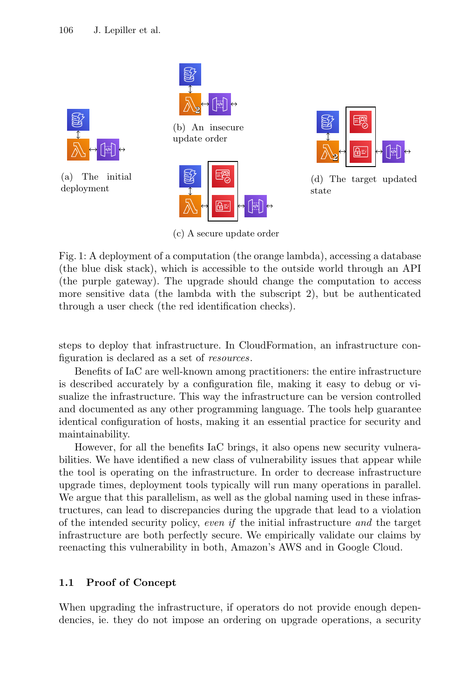<span id="page-1-1"></span><span id="page-1-0"></span>

(a) The initial deployment

<span id="page-1-3"></span>

<span id="page-1-2"></span>

(d) The target updated state

<span id="page-1-4"></span>(c) A secure update order

Fig. 1: A deployment of a computation (the orange lambda), accessing a database (the blue disk stack), which is accessible to the outside world through an API (the purple gateway). The upgrade should change the computation to access more sensitive data (the lambda with the subscript 2), but be authenticated through a user check (the red identification checks).

steps to deploy that infrastructure. In CloudFormation, an infrastructure configuration is declared as a set of resources.

Benefits of IaC are well-known among practitioners: the entire infrastructure is described accurately by a configuration file, making it easy to debug or visualize the infrastructure. This way the infrastructure can be version controlled and documented as any other programming language. The tools help guarantee identical configuration of hosts, making it an essential practice for security and maintainability.

However, for all the benefits IaC brings, it also opens new security vulnerabilities. We have identified a new class of vulnerability issues that appear while the tool is operating on the infrastructure. In order to decrease infrastructure upgrade times, deployment tools typically will run many operations in parallel. We argue that this parallelism, as well as the global naming used in these infrastructures, can lead to discrepancies during the upgrade that lead to a violation of the intended security policy, even if the initial infrastructure and the target infrastructure are both perfectly secure. We empirically validate our claims by reenacting this vulnerability in both, Amazon's AWS and in Google Cloud.

### 1.1 Proof of Concept

When upgrading the infrastructure, if operators do not provide enough dependencies, ie. they do not impose an ordering on upgrade operations, a security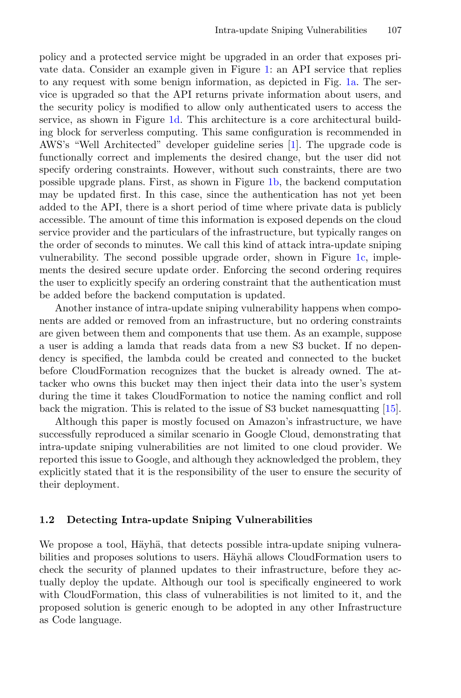policy and a protected service might be upgraded in an order that exposes private data. Consider an example given in Figure [1:](#page-1-0) an API service that replies to any request with some benign information, as depicted in Fig. [1a.](#page-1-1) The service is upgraded so that the API returns private information about users, and the security policy is modified to allow only authenticated users to access the service, as shown in Figure [1d.](#page-1-2) This architecture is a core architectural building block for serverless computing. This same configuration is recommended in AWS's "Well Architected" developer guideline series [\[1\]](#page-16-3). The upgrade code is functionally correct and implements the desired change, but the user did not specify ordering constraints. However, without such constraints, there are two possible upgrade plans. First, as shown in Figure [1b,](#page-1-3) the backend computation may be updated first. In this case, since the authentication has not yet been added to the API, there is a short period of time where private data is publicly accessible. The amount of time this information is exposed depends on the cloud service provider and the particulars of the infrastructure, but typically ranges on the order of seconds to minutes. We call this kind of attack intra-update sniping vulnerability. The second possible upgrade order, shown in Figure [1c,](#page-1-4) implements the desired secure update order. Enforcing the second ordering requires the user to explicitly specify an ordering constraint that the authentication must be added before the backend computation is updated.

Another instance of intra-update sniping vulnerability happens when components are added or removed from an infrastructure, but no ordering constraints are given between them and components that use them. As an example, suppose a user is adding a lamda that reads data from a new S3 bucket. If no dependency is specified, the lambda could be created and connected to the bucket before CloudFormation recognizes that the bucket is already owned. The attacker who owns this bucket may then inject their data into the user's system during the time it takes CloudFormation to notice the naming conflict and roll back the migration. This is related to the issue of S3 bucket namesquatting [\[15\]](#page-16-4).

Although this paper is mostly focused on Amazon's infrastructure, we have successfully reproduced a similar scenario in Google Cloud, demonstrating that intra-update sniping vulnerabilities are not limited to one cloud provider. We reported this issue to Google, and although they acknowledged the problem, they explicitly stated that it is the responsibility of the user to ensure the security of their deployment.

#### 1.2 Detecting Intra-update Sniping Vulnerabilities

We propose a tool, Häyhä, that detects possible intra-update sniping vulnerabilities and proposes solutions to users. Häyhä allows CloudFormation users to check the security of planned updates to their infrastructure, before they actually deploy the update. Although our tool is specifically engineered to work with CloudFormation, this class of vulnerabilities is not limited to it, and the proposed solution is generic enough to be adopted in any other Infrastructure as Code language.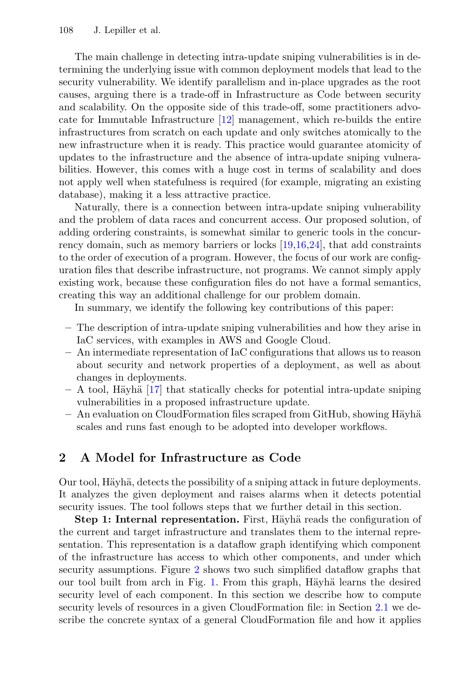The main challenge in detecting intra-update sniping vulnerabilities is in determining the underlying issue with common deployment models that lead to the security vulnerability. We identify parallelism and in-place upgrades as the root causes, arguing there is a trade-off in Infrastructure as Code between security and scalability. On the opposite side of this trade-off, some practitioners advocate for Immutable Infrastructure [\[12\]](#page-16-5) management, which re-builds the entire infrastructures from scratch on each update and only switches atomically to the new infrastructure when it is ready. This practice would guarantee atomicity of updates to the infrastructure and the absence of intra-update sniping vulnerabilities. However, this comes with a huge cost in terms of scalability and does not apply well when statefulness is required (for example, migrating an existing database), making it a less attractive practice.

Naturally, there is a connection between intra-update sniping vulnerability and the problem of data races and concurrent access. Our proposed solution, of adding ordering constraints, is somewhat similar to generic tools in the concurrency domain, such as memory barriers or locks [\[19,](#page-17-2)[16](#page-16-6)[,24\]](#page-17-3), that add constraints to the order of execution of a program. However, the focus of our work are configuration files that describe infrastructure, not programs. We cannot simply apply existing work, because these configuration files do not have a formal semantics, creating this way an additional challenge for our problem domain.

In summary, we identify the following key contributions of this paper:

- The description of intra-update sniping vulnerabilities and how they arise in IaC services, with examples in AWS and Google Cloud.
- An intermediate representation of IaC configurations that allows us to reason about security and network properties of a deployment, as well as about changes in deployments.
- $-$  A tool, Häyhä [\[17\]](#page-16-7) that statically checks for potential intra-update sniping vulnerabilities in a proposed infrastructure update.
- $-$  An evaluation on CloudFormation files scraped from GitHub, showing Häyhä scales and runs fast enough to be adopted into developer workflows.

# 2 A Model for Infrastructure as Code

Our tool, Häyhä, detects the possibility of a sniping attack in future deployments. It analyzes the given deployment and raises alarms when it detects potential security issues. The tool follows steps that we further detail in this section.

Step 1: Internal representation. First, Häyhä reads the configuration of the current and target infrastructure and translates them to the internal representation. This representation is a dataflow graph identifying which component of the infrastructure has access to which other components, and under which security assumptions. Figure [2](#page-4-0) shows two such simplified dataflow graphs that our tool built from arch in Fig. [1.](#page-1-0) From this graph, Häyhä learns the desired security level of each component. In this section we describe how to compute security levels of resources in a given CloudFormation file: in Section [2.1](#page-5-0) we describe the concrete syntax of a general CloudFormation file and how it applies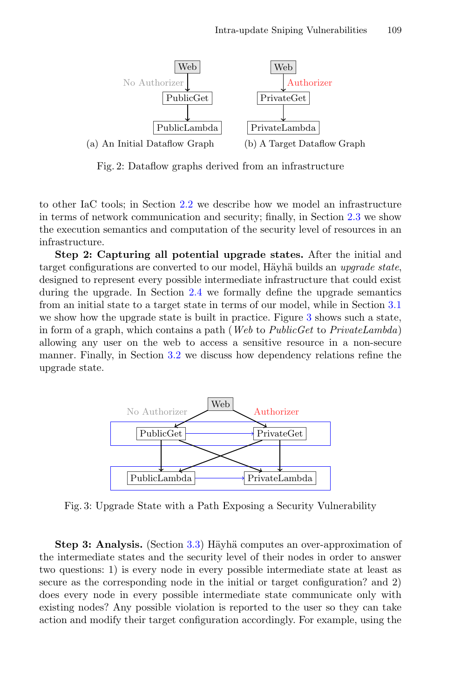<span id="page-4-0"></span>

Fig. 2: Dataflow graphs derived from an infrastructure

to other IaC tools; in Section [2.2](#page-6-0) we describe how we model an infrastructure in terms of network communication and security; finally, in Section [2.3](#page-7-0) we show the execution semantics and computation of the security level of resources in an infrastructure.

Step 2: Capturing all potential upgrade states. After the initial and target configurations are converted to our model, Häyhä builds an *upgrade state*, designed to represent every possible intermediate infrastructure that could exist during the upgrade. In Section [2.4](#page-8-0) we formally define the upgrade semantics from an initial state to a target state in terms of our model, while in Section [3.1](#page-10-0) we show how the upgrade state is built in practice. Figure [3](#page-4-1) shows such a state, in form of a graph, which contains a path (Web to  $PublicGet$  to  $PrivateLambda$ ) allowing any user on the web to access a sensitive resource in a non-secure manner. Finally, in Section [3.2](#page-11-0) we discuss how dependency relations refine the upgrade state.

<span id="page-4-1"></span>

Fig. 3: Upgrade State with a Path Exposing a Security Vulnerability

Step 3: Analysis. (Section [3.3\)](#page-13-0) Häyhä computes an over-approximation of the intermediate states and the security level of their nodes in order to answer two questions: 1) is every node in every possible intermediate state at least as secure as the corresponding node in the initial or target configuration? and 2) does every node in every possible intermediate state communicate only with existing nodes? Any possible violation is reported to the user so they can take action and modify their target configuration accordingly. For example, using the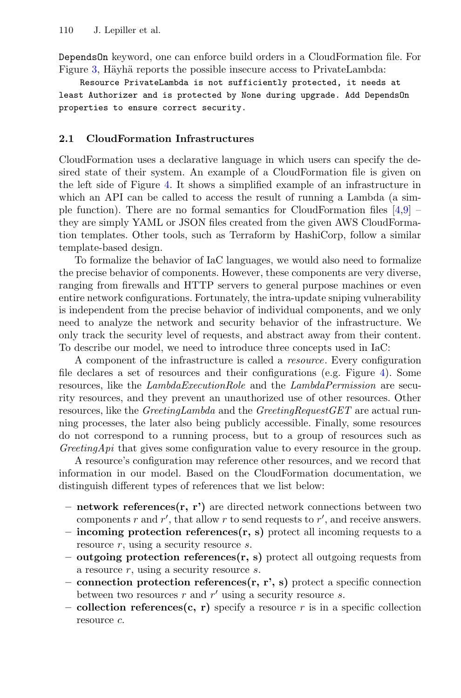DependsOn keyword, one can enforce build orders in a CloudFormation file. For Figure [3,](#page-4-1) Häyhä reports the possible insecure access to PrivateLambda:

Resource PrivateLambda is not sufficiently protected, it needs at least Authorizer and is protected by None during upgrade. Add DependsOn properties to ensure correct security.

### <span id="page-5-0"></span>2.1 CloudFormation Infrastructures

CloudFormation uses a declarative language in which users can specify the desired state of their system. An example of a CloudFormation file is given on the left side of Figure [4.](#page-6-1) It shows a simplified example of an infrastructure in which an API can be called to access the result of running a Lambda (a simple function). There are no formal semantics for CloudFormation files  $[4,9]$  $[4,9]$  – they are simply YAML or JSON files created from the given AWS CloudFormation templates. Other tools, such as Terraform by HashiCorp, follow a similar template-based design.

To formalize the behavior of IaC languages, we would also need to formalize the precise behavior of components. However, these components are very diverse, ranging from firewalls and HTTP servers to general purpose machines or even entire network configurations. Fortunately, the intra-update sniping vulnerability is independent from the precise behavior of individual components, and we only need to analyze the network and security behavior of the infrastructure. We only track the security level of requests, and abstract away from their content. To describe our model, we need to introduce three concepts used in IaC:

A component of the infrastructure is called a resource. Every configuration file declares a set of resources and their configurations (e.g. Figure [4\)](#page-6-1). Some resources, like the LambdaExecutionRole and the LambdaPermission are security resources, and they prevent an unauthorized use of other resources. Other resources, like the  $Greenalambda$  and the  $GreenalReduestGET$  are actual running processes, the later also being publicly accessible. Finally, some resources do not correspond to a running process, but to a group of resources such as  $GreetingApi$  that gives some configuration value to every resource in the group.

A resource's configuration may reference other resources, and we record that information in our model. Based on the CloudFormation documentation, we distinguish different types of references that we list below:

- network references $(\mathbf{r}, \mathbf{r}')$  are directed network connections between two components r and  $r'$ , that allow r to send requests to  $r'$ , and receive answers.
- incoming protection references $(r, s)$  protect all incoming requests to a resource  $r$ , using a security resource  $s$ .
- outgoing protection references $(r, s)$  protect all outgoing requests from a resource r, using a security resource s.
- connection protection references $(r, r', s)$  protect a specific connection between two resources  $r$  and  $r'$  using a security resource  $s$ .
- collection references(c, r) specify a resource r is in a specific collection resource c.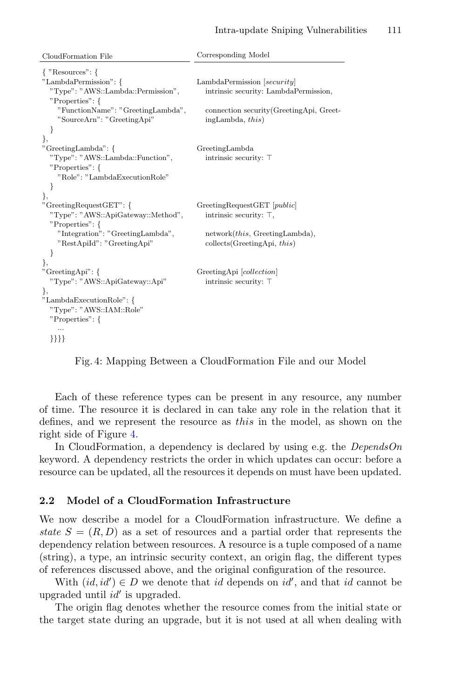```
CloudFormation File Corresponding Model
{ "Resources": {
"LambdaPermission": { LambdaPermission [security]
 "Type": "AWS::Lambda::Permission",
 "Properties": {
   "FunctionName": "GreetingLambda", connection security(GreetingApi, Greet-
   "SourceArn": "GreetingApi" ingLambda, this)
 }
},
"GreetingLambda": { GreetingLambda
 "Type" : "AWS::Lambda::Function", intrinsic security: \top"Properties": {
   "Role": "LambdaExecutionRole"
 }
},
"GreetingRequestGET": { GreetingRequestGET [public]
 "Type": "AWS::ApiGateway::Method", intrinsic security: \top,
 "Properties": {
   "Integration": "GreetingLambda", network(this, GreetingLambda),
   "RestApiId": "GreetingApi" collects(GreetingApi, this)
 }
},
"GreetingApi": { GreetingApi [collection]
 "Type": "AWS::ApiGateway::Api" intrinsic security: \top},
"LambdaExecutionRole": {
 "Type": "AWS::IAM::Role"
 "Properties": {
   ...
 }}}}
```
Fig. 4: Mapping Between a CloudFormation File and our Model

Each of these reference types can be present in any resource, any number of time. The resource it is declared in can take any role in the relation that it defines, and we represent the resource as this in the model, as shown on the right side of Figure [4.](#page-6-1)

In CloudFormation, a dependency is declared by using e.g. the  $DependsOn$ keyword. A dependency restricts the order in which updates can occur: before a resource can be updated, all the resources it depends on must have been updated.

### <span id="page-6-0"></span>2.2 Model of a CloudFormation Infrastructure

We now describe a model for a CloudFormation infrastructure. We define a state  $S = (R, D)$  as a set of resources and a partial order that represents the dependency relation between resources. A resource is a tuple composed of a name (string), a type, an intrinsic security context, an origin flag, the different types of references discussed above, and the original configuration of the resource.

With  $(id, id') \in D$  we denote that id depends on id', and that id cannot be upgraded until  $id'$  is upgraded.

The origin flag denotes whether the resource comes from the initial state or the target state during an upgrade, but it is not used at all when dealing with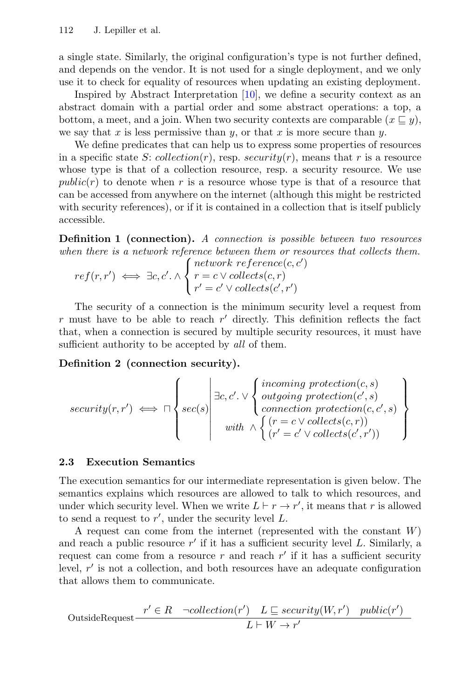a single state. Similarly, the original configuration's type is not further defined, and depends on the vendor. It is not used for a single deployment, and we only use it to check for equality of resources when updating an existing deployment.

Inspired by Abstract Interpretation [\[10\]](#page-16-10), we define a security context as an abstract domain with a partial order and some abstract operations: a top, a bottom, a meet, and a join. When two security contexts are comparable  $(x \sqsubseteq y)$ , we say that x is less permissive than y, or that x is more secure than y.

We define predicates that can help us to express some properties of resources in a specific state S: collection(r), resp. security(r), means that r is a resource whose type is that of a collection resource, resp. a security resource. We use  $public(r)$  to denote when r is a resource whose type is that of a resource that can be accessed from anywhere on the internet (although this might be restricted with security references), or if it is contained in a collection that is itself publicly accessible.

Definition 1 (connection). A connection is possible between two resources when there is a network reference between them or resources that collects them.

 $ref(r,r') \iff \exists c, c'. \land$  $\sqrt{ }$  $\frac{1}{2}$  $\mathcal{L}$  $network\,\,reference(c,c')$  $r = c \vee collects(c, r)$  $r' = c' \vee collects(c', r')$ 

The security of a connection is the minimum security level a request from  $r$  must have to be able to reach  $r'$  directly. This definition reflects the fact that, when a connection is secured by multiple security resources, it must have sufficient authority to be accepted by all of them.

#### Definition 2 (connection security).

$$
security(r,r') \iff \sqcap \left\{ \begin{aligned} &\left\{ \exists c, c' \cdot \vee \left\{ \begin{aligned} \begin{matrix} incoming\ protection(c,s) \\ outgoing\ protection(c',s) \\ connection\ protection(c,c',s) \\ with \;\wedge \; \left\{ \begin{matrix} (r = c \vee collects(c,r)) \\ (r' = c' \vee collects(c',r')) \end{matrix} \end{matrix} \right\} \end{aligned} \right\} \right\} \end{aligned}
$$

#### <span id="page-7-0"></span>2.3 Execution Semantics

The execution semantics for our intermediate representation is given below. The semantics explains which resources are allowed to talk to which resources, and under which security level. When we write  $L \vdash r \rightarrow r'$ , it means that r is allowed to send a request to  $r'$ , under the security level  $L$ .

A request can come from the internet (represented with the constant W) and reach a public resource  $r'$  if it has a sufficient security level L. Similarly, a request can come from a resource  $r$  and reach  $r'$  if it has a sufficient security level,  $r'$  is not a collection, and both resources have an adequate configuration that allows them to communicate.

$$
\text{OutsideRequest} \xrightarrow{r' \in R} \neg collection(r') \quad L \sqsubseteq security(W, r') \quad public(r')
$$

$$
L \vdash W \to r'
$$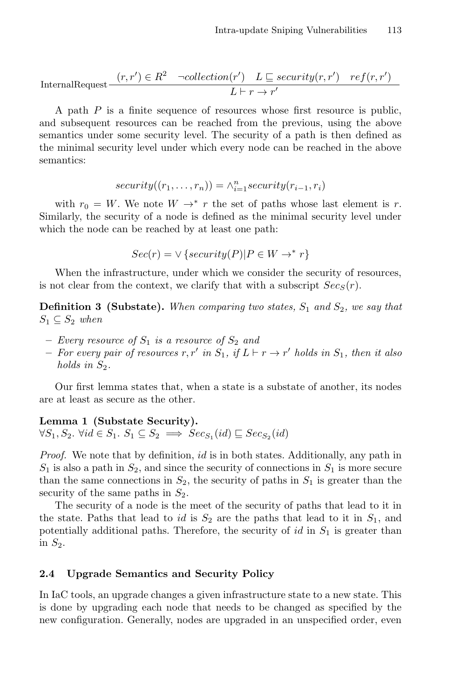$$
\text{InternalRequest} \begin{array}{c|cc} (r, r') \in R^2 & \neg collection(r') & L \sqsubseteq security(r, r') & ref(r, r') \\ & L \vdash r \to r' \end{array}
$$

A path  $P$  is a finite sequence of resources whose first resource is public, and subsequent resources can be reached from the previous, using the above semantics under some security level. The security of a path is then defined as the minimal security level under which every node can be reached in the above semantics:

$$
security((r_1, \ldots, r_n)) = \wedge_{i=1}^n security(r_{i-1}, r_i)
$$

with  $r_0 = W$ . We note  $W \rightarrow^* r$  the set of paths whose last element is r. Similarly, the security of a node is defined as the minimal security level under which the node can be reached by at least one path:

$$
Sec(r) = \vee \{security(P)|P \in W \rightarrow^* r\}
$$

When the infrastructure, under which we consider the security of resources, is not clear from the context, we clarify that with a subscript  $Sec_S(r)$ .

**Definition 3 (Substate).** When comparing two states,  $S_1$  and  $S_2$ , we say that  $S_1 \subseteq S_2$  when

- Every resource of  $S_1$  is a resource of  $S_2$  and
- For every pair of resources  $r, r'$  in  $S_1$ , if  $L \vdash r \rightarrow r'$  holds in  $S_1$ , then it also holds in  $S_2$ .

Our first lemma states that, when a state is a substate of another, its nodes are at least as secure as the other.

# <span id="page-8-1"></span>Lemma 1 (Substate Security).  $\forall S_1, S_2$ .  $\forall id \in S_1$ .  $S_1 \subseteq S_2 \implies Sec_{S_1}(id) \sqsubseteq Sec_{S_2}(id)$

*Proof.* We note that by definition, id is in both states. Additionally, any path in  $S_1$  is also a path in  $S_2$ , and since the security of connections in  $S_1$  is more secure than the same connections in  $S_2$ , the security of paths in  $S_1$  is greater than the security of the same paths in  $S_2$ .

The security of a node is the meet of the security of paths that lead to it in the state. Paths that lead to *id* is  $S_2$  are the paths that lead to it in  $S_1$ , and potentially additional paths. Therefore, the security of  $id$  in  $S_1$  is greater than in  $S_2$ .

#### <span id="page-8-0"></span>2.4 Upgrade Semantics and Security Policy

In IaC tools, an upgrade changes a given infrastructure state to a new state. This is done by upgrading each node that needs to be changed as specified by the new configuration. Generally, nodes are upgraded in an unspecified order, even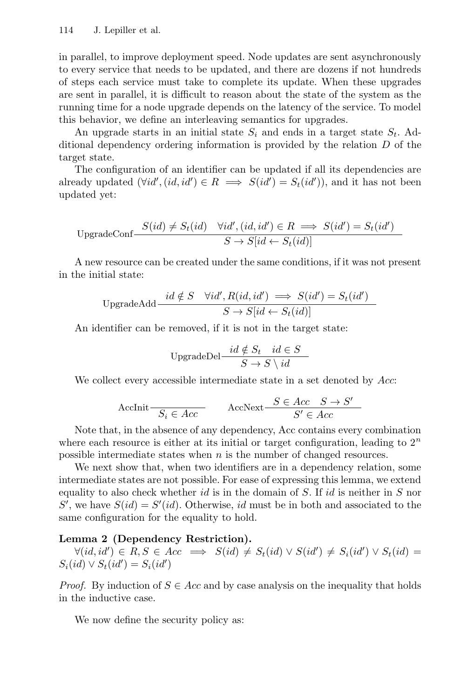in parallel, to improve deployment speed. Node updates are sent asynchronously to every service that needs to be updated, and there are dozens if not hundreds of steps each service must take to complete its update. When these upgrades are sent in parallel, it is difficult to reason about the state of the system as the running time for a node upgrade depends on the latency of the service. To model this behavior, we define an interleaving semantics for upgrades.

An upgrade starts in an initial state  $S_i$  and ends in a target state  $S_t$ . Additional dependency ordering information is provided by the relation D of the target state.

The configuration of an identifier can be updated if all its dependencies are already updated  $(\forall id', (id, id') \in R \implies S(id') = S_t(id'))$ , and it has not been updated yet:

$$
\text{UpgradeConf} \xrightarrow{S(id) \neq S_t(id) \quad \forall id', (id, id') \in R \implies S(id') = S_t(id')}
$$

$$
S \to S(id \leftarrow S_t(id)]
$$

A new resource can be created under the same conditions, if it was not present in the initial state:

$$
\text{UpgradeAdd} \begin{aligned} \frac{id \notin S \quad \forall id', R(id, id') \implies S(id') = S_t(id')}{S \to S(id \gets S_t(id)]} \end{aligned}
$$

An identifier can be removed, if it is not in the target state:

$$
\text{UpgradeDel} \frac{id \notin S_t \quad id \in S}{S \to S \setminus id}
$$

We collect every accessible intermediate state in a set denoted by Acc:

$$
\text{AccInit} \frac{}{\textcolor{red}{S_i \in Acc}} \qquad \text{AccNext} \frac{\textcolor{red}{S \in Acc\_S \rightarrow S'}}{\textcolor{red}{S' \in Acc}}
$$

Note that, in the absence of any dependency, Acc contains every combination where each resource is either at its initial or target configuration, leading to  $2^n$ possible intermediate states when  $n$  is the number of changed resources.

We next show that, when two identifiers are in a dependency relation, some intermediate states are not possible. For ease of expressing this lemma, we extend equality to also check whether *id* is in the domain of S. If *id* is neither in S nor S', we have  $S(id) = S'(id)$ . Otherwise, id must be in both and associated to the same configuration for the equality to hold.

#### <span id="page-9-0"></span>Lemma 2 (Dependency Restriction).

 $\forall (id, id') \in R, S \in Acc \implies S(id) \neq S_t(id) \vee S(id') \neq S_t(id') \vee S_t(id) =$  $S_i(id) \vee S_t(id') = S_i(id')$ 

*Proof.* By induction of  $S \in Acc$  and by case analysis on the inequality that holds in the inductive case.

We now define the security policy as: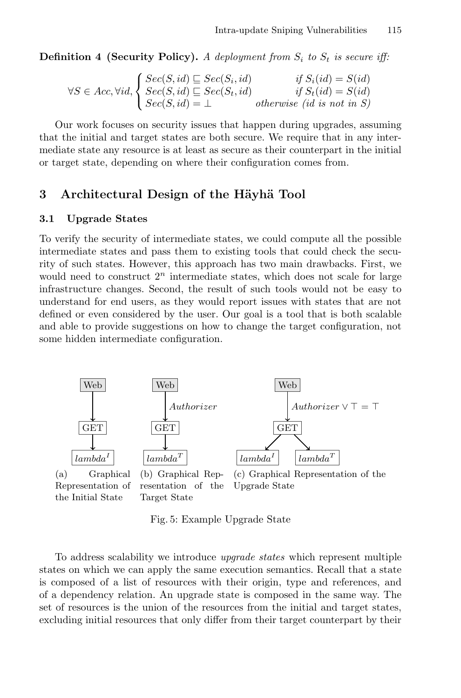**Definition 4 (Security Policy).** A deployment from  $S_i$  to  $S_t$  is secure iff:

$$
\forall S \in Acc, \forall id, \begin{cases} \text{Sec}(S, id) \sqsubseteq \text{Sec}(S_i, id) & \text{if } S_i(id) = S(id) \\ \text{Sec}(S, id) \sqsubseteq \text{Sec}(S_t, id) & \text{if } S_t(id) = S(id) \\ \text{Sec}(S, id) = \bot & \text{otherwise (id is not in S)} \end{cases}
$$

Our work focuses on security issues that happen during upgrades, assuming that the initial and target states are both secure. We require that in any intermediate state any resource is at least as secure as their counterpart in the initial or target state, depending on where their configuration comes from.

### 3 Architectural Design of the Häyhä Tool

#### <span id="page-10-0"></span>3.1 Upgrade States

To verify the security of intermediate states, we could compute all the possible intermediate states and pass them to existing tools that could check the security of such states. However, this approach has two main drawbacks. First, we would need to construct  $2<sup>n</sup>$  intermediate states, which does not scale for large infrastructure changes. Second, the result of such tools would not be easy to understand for end users, as they would report issues with states that are not defined or even considered by the user. Our goal is a tool that is both scalable and able to provide suggestions on how to change the target configuration, not some hidden intermediate configuration.

<span id="page-10-1"></span>

Fig. 5: Example Upgrade State

To address scalability we introduce upgrade states which represent multiple states on which we can apply the same execution semantics. Recall that a state is composed of a list of resources with their origin, type and references, and of a dependency relation. An upgrade state is composed in the same way. The set of resources is the union of the resources from the initial and target states, excluding initial resources that only differ from their target counterpart by their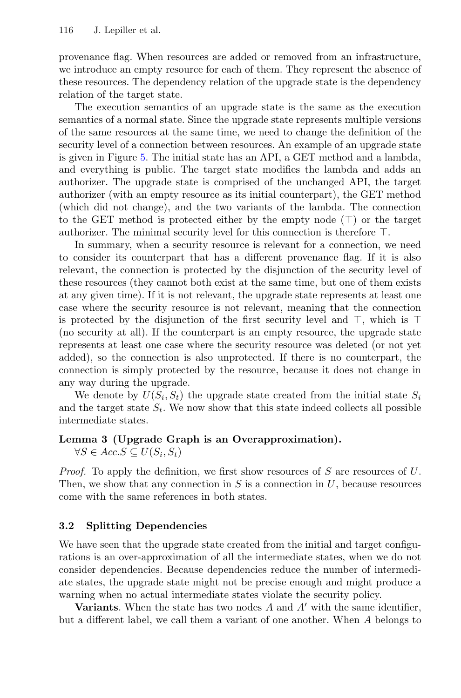provenance flag. When resources are added or removed from an infrastructure, we introduce an empty resource for each of them. They represent the absence of these resources. The dependency relation of the upgrade state is the dependency relation of the target state.

The execution semantics of an upgrade state is the same as the execution semantics of a normal state. Since the upgrade state represents multiple versions of the same resources at the same time, we need to change the definition of the security level of a connection between resources. An example of an upgrade state is given in Figure [5.](#page-10-1) The initial state has an API, a GET method and a lambda, and everything is public. The target state modifies the lambda and adds an authorizer. The upgrade state is comprised of the unchanged API, the target authorizer (with an empty resource as its initial counterpart), the GET method (which did not change), and the two variants of the lambda. The connection to the GET method is protected either by the empty node  $(\top)$  or the target authorizer. The minimal security level for this connection is therefore  $\top$ .

In summary, when a security resource is relevant for a connection, we need to consider its counterpart that has a different provenance flag. If it is also relevant, the connection is protected by the disjunction of the security level of these resources (they cannot both exist at the same time, but one of them exists at any given time). If it is not relevant, the upgrade state represents at least one case where the security resource is not relevant, meaning that the connection is protected by the disjunction of the first security level and  $\top$ , which is  $\top$ (no security at all). If the counterpart is an empty resource, the upgrade state represents at least one case where the security resource was deleted (or not yet added), so the connection is also unprotected. If there is no counterpart, the connection is simply protected by the resource, because it does not change in any way during the upgrade.

We denote by  $U(S_i, S_t)$  the upgrade state created from the initial state  $S_i$ and the target state  $S_t$ . We now show that this state indeed collects all possible intermediate states.

### <span id="page-11-1"></span>Lemma 3 (Upgrade Graph is an Overapproximation).

 $\forall S \in Acc.S \subseteq U(S_i, S_t)$ 

*Proof.* To apply the definition, we first show resources of S are resources of  $U$ . Then, we show that any connection in  $S$  is a connection in  $U$ , because resources come with the same references in both states.

### <span id="page-11-0"></span>3.2 Splitting Dependencies

We have seen that the upgrade state created from the initial and target configurations is an over-approximation of all the intermediate states, when we do not consider dependencies. Because dependencies reduce the number of intermediate states, the upgrade state might not be precise enough and might produce a warning when no actual intermediate states violate the security policy.

**Variants**. When the state has two nodes  $A$  and  $A'$  with the same identifier, but a different label, we call them a variant of one another. When A belongs to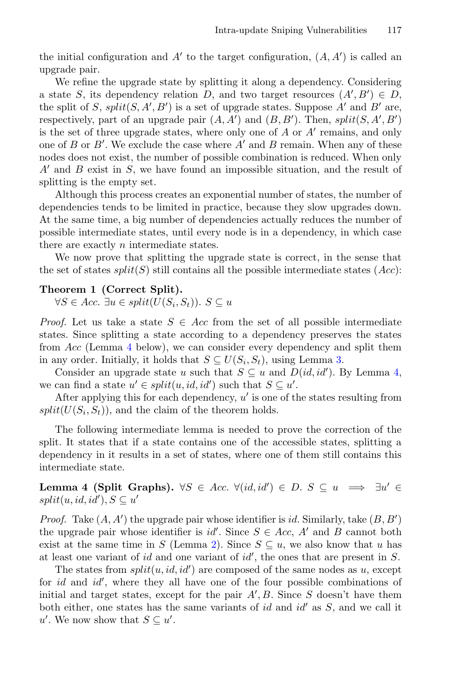the initial configuration and  $A'$  to the target configuration,  $(A, A')$  is called an upgrade pair.

We refine the upgrade state by splitting it along a dependency. Considering a state S, its dependency relation D, and two target resources  $(A', B') \in D$ , the split of S,  $split(S, A', B')$  is a set of upgrade states. Suppose A' and B' are, respectively, part of an upgrade pair  $(A, A')$  and  $(B, B')$ . Then,  $split(S, A', B')$ is the set of three upgrade states, where only one of  $A$  or  $A'$  remains, and only one of  $B$  or  $B'$ . We exclude the case where  $A'$  and  $B$  remain. When any of these nodes does not exist, the number of possible combination is reduced. When only  $A'$  and  $B$  exist in  $S$ , we have found an impossible situation, and the result of splitting is the empty set.

Although this process creates an exponential number of states, the number of dependencies tends to be limited in practice, because they slow upgrades down. At the same time, a big number of dependencies actually reduces the number of possible intermediate states, until every node is in a dependency, in which case there are exactly n intermediate states.

We now prove that splitting the upgrade state is correct, in the sense that the set of states  $split(S)$  still contains all the possible intermediate states  $(Acc)$ :

#### <span id="page-12-1"></span>Theorem 1 (Correct Split).

 $\forall S \in Acc. \ \exists u \in split(U(S_i, S_t)). \ S \subseteq u$ 

*Proof.* Let us take a state  $S \in Acc$  from the set of all possible intermediate states. Since splitting a state according to a dependency preserves the states from Acc (Lemma [4](#page-12-0) below), we can consider every dependency and split them in any order. Initially, it holds that  $S \subseteq U(S_i, S_t)$ , using Lemma [3.](#page-11-1)

Consider an upgrade state u such that  $S \subseteq u$  and  $D(id, id')$ . By Lemma [4,](#page-12-0) we can find a state  $u' \in split(u, id, id')$  such that  $S \subseteq u'$ .

After applying this for each dependency,  $u'$  is one of the states resulting from  $split(U(S_i, S_t))$ , and the claim of the theorem holds.

The following intermediate lemma is needed to prove the correction of the split. It states that if a state contains one of the accessible states, splitting a dependency in it results in a set of states, where one of them still contains this intermediate state.

<span id="page-12-0"></span>Lemma 4 (Split Graphs).  $\forall S \in Acc. \ \forall (id, id') \in D. \ S \subseteq u \implies \exists u' \in$  $split(u, id, id'), S \subseteq u'$ 

*Proof.* Take  $(A, A')$  the upgrade pair whose identifier is id. Similarly, take  $(B, B')$ the upgrade pair whose identifier is  $id'$ . Since  $S \in Acc, A'$  and B cannot both exist at the same time in S (Lemma [2\)](#page-9-0). Since  $S \subseteq u$ , we also know that u has at least one variant of id and one variant of  $id'$ , the ones that are present in  $S$ .

The states from  $split(u, id, id')$  are composed of the same nodes as u, except for  $id$  and  $id'$ , where they all have one of the four possible combinations of initial and target states, except for the pair  $A', B$ . Since S doesn't have them both either, one states has the same variants of  $id$  and  $id'$  as  $S$ , and we call it  $u'$ . We now show that  $S \subseteq u'$ .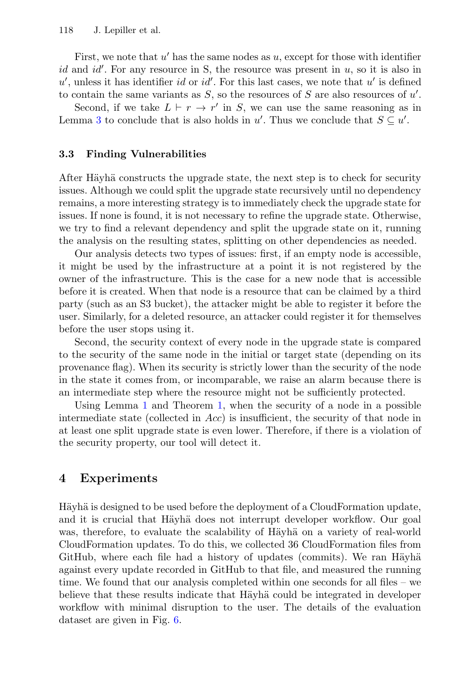First, we note that  $u'$  has the same nodes as  $u$ , except for those with identifier  $id$  and  $id'$ . For any resource in S, the resource was present in  $u$ , so it is also in  $u'$ , unless it has identifier *id* or *id'*. For this last cases, we note that  $u'$  is defined to contain the same variants as  $S$ , so the resources of  $S$  are also resources of  $u'$ .

Second, if we take  $L \vdash r \to r'$  in S, we can use the same reasoning as in Lemma [3](#page-11-1) to conclude that is also holds in u'. Thus we conclude that  $S \subseteq u'$ .

#### <span id="page-13-0"></span>3.3 Finding Vulnerabilities

After Häyhä constructs the upgrade state, the next step is to check for security issues. Although we could split the upgrade state recursively until no dependency remains, a more interesting strategy is to immediately check the upgrade state for issues. If none is found, it is not necessary to refine the upgrade state. Otherwise, we try to find a relevant dependency and split the upgrade state on it, running the analysis on the resulting states, splitting on other dependencies as needed.

Our analysis detects two types of issues: first, if an empty node is accessible, it might be used by the infrastructure at a point it is not registered by the owner of the infrastructure. This is the case for a new node that is accessible before it is created. When that node is a resource that can be claimed by a third party (such as an S3 bucket), the attacker might be able to register it before the user. Similarly, for a deleted resource, an attacker could register it for themselves before the user stops using it.

Second, the security context of every node in the upgrade state is compared to the security of the same node in the initial or target state (depending on its provenance flag). When its security is strictly lower than the security of the node in the state it comes from, or incomparable, we raise an alarm because there is an intermediate step where the resource might not be sufficiently protected.

Using Lemma [1](#page-8-1) and Theorem [1,](#page-12-1) when the security of a node in a possible intermediate state (collected in  $Acc$ ) is insufficient, the security of that node in at least one split upgrade state is even lower. Therefore, if there is a violation of the security property, our tool will detect it.

### 4 Experiments

Häyhä is designed to be used before the deployment of a CloudFormation update, and it is crucial that Häyhä does not interrupt developer workflow. Our goal was, therefore, to evaluate the scalability of Häyhä on a variety of real-world CloudFormation updates. To do this, we collected 36 CloudFormation files from GitHub, where each file had a history of updates (commits). We ran Häyhä against every update recorded in GitHub to that file, and measured the running time. We found that our analysis completed within one seconds for all files – we believe that these results indicate that Häyhä could be integrated in developer workflow with minimal disruption to the user. The details of the evaluation dataset are given in Fig. [6.](#page-14-0)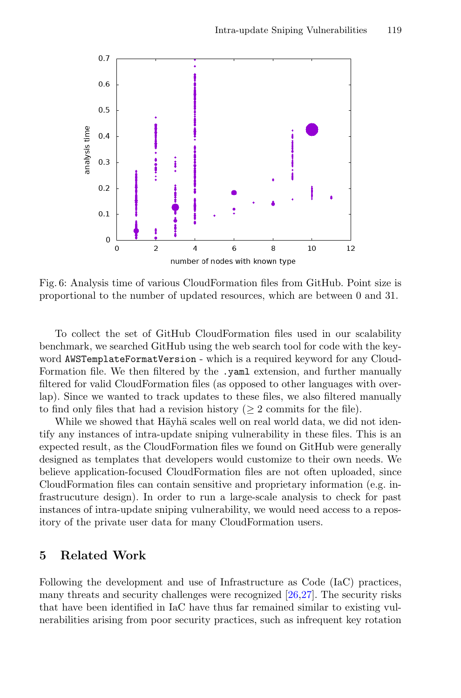<span id="page-14-0"></span>

Fig. 6: Analysis time of various CloudFormation files from GitHub. Point size is proportional to the number of updated resources, which are between 0 and 31.

To collect the set of GitHub CloudFormation files used in our scalability benchmark, we searched GitHub using the web search tool for code with the keyword AWSTemplateFormatVersion - which is a required keyword for any Cloud-Formation file. We then filtered by the .yaml extension, and further manually filtered for valid CloudFormation files (as opposed to other languages with overlap). Since we wanted to track updates to these files, we also filtered manually to find only files that had a revision history ( $\geq 2$  commits for the file).

While we showed that Häyhä scales well on real world data, we did not identify any instances of intra-update sniping vulnerability in these files. This is an expected result, as the CloudFormation files we found on GitHub were generally designed as templates that developers would customize to their own needs. We believe application-focused CloudFormation files are not often uploaded, since CloudFormation files can contain sensitive and proprietary information (e.g. infrastrucuture design). In order to run a large-scale analysis to check for past instances of intra-update sniping vulnerability, we would need access to a repository of the private user data for many CloudFormation users.

### 5 Related Work

Following the development and use of Infrastructure as Code (IaC) practices, many threats and security challenges were recognized [\[26,](#page-17-4)[27\]](#page-17-5). The security risks that have been identified in IaC have thus far remained similar to existing vulnerabilities arising from poor security practices, such as infrequent key rotation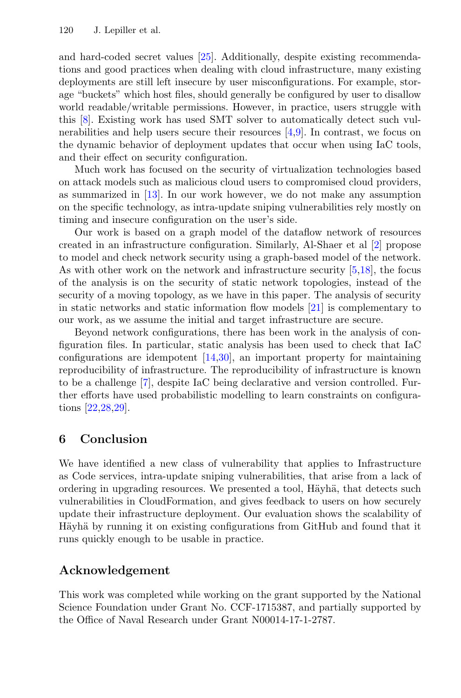and hard-coded secret values [\[25\]](#page-17-6). Additionally, despite existing recommendations and good practices when dealing with cloud infrastructure, many existing deployments are still left insecure by user misconfigurations. For example, storage "buckets" which host files, should generally be configured by user to disallow world readable/writable permissions. However, in practice, users struggle with this [\[8\]](#page-16-11). Existing work has used SMT solver to automatically detect such vulnerabilities and help users secure their resources [\[4](#page-16-8)[,9\]](#page-16-9). In contrast, we focus on the dynamic behavior of deployment updates that occur when using IaC tools, and their effect on security configuration.

Much work has focused on the security of virtualization technologies based on attack models such as malicious cloud users to compromised cloud providers, as summarized in [\[13\]](#page-16-12). In our work however, we do not make any assumption on the specific technology, as intra-update sniping vulnerabilities rely mostly on timing and insecure configuration on the user's side.

Our work is based on a graph model of the dataflow network of resources created in an infrastructure configuration. Similarly, Al-Shaer et al [\[2\]](#page-16-13) propose to model and check network security using a graph-based model of the network. As with other work on the network and infrastructure security [\[5,](#page-16-14)[18\]](#page-16-15), the focus of the analysis is on the security of static network topologies, instead of the security of a moving topology, as we have in this paper. The analysis of security in static networks and static information flow models [\[21\]](#page-17-7) is complementary to our work, as we assume the initial and target infrastructure are secure.

Beyond network configurations, there has been work in the analysis of configuration files. In particular, static analysis has been used to check that IaC configurations are idempotent  $[14,30]$  $[14,30]$ , an important property for maintaining reproducibility of infrastructure. The reproducibility of infrastructure is known to be a challenge [\[7\]](#page-16-17), despite IaC being declarative and version controlled. Further efforts have used probabilistic modelling to learn constraints on configurations [\[22](#page-17-9)[,28,](#page-17-10)[29\]](#page-17-11).

# 6 Conclusion

We have identified a new class of vulnerability that applies to Infrastructure as Code services, intra-update sniping vulnerabilities, that arise from a lack of ordering in upgrading resources. We presented a tool, Häyhä, that detects such vulnerabilities in CloudFormation, and gives feedback to users on how securely update their infrastructure deployment. Our evaluation shows the scalability of Häyhä by running it on existing configurations from GitHub and found that it runs quickly enough to be usable in practice.

# Acknowledgement

This work was completed while working on the grant supported by the National Science Foundation under Grant No. CCF-1715387, and partially supported by the Office of Naval Research under Grant N00014-17-1-2787.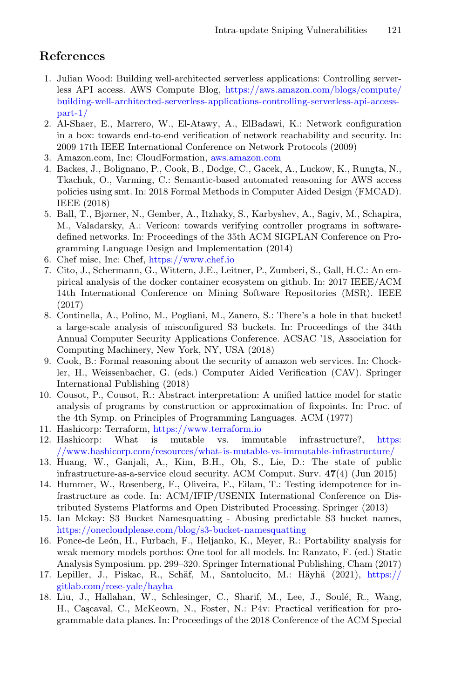# References

- <span id="page-16-3"></span>1. Julian Wood: Building well-architected serverless applications: Controlling serverless API access. AWS Compute Blog, https://aws.amazon.[com/blogs/compute/](https://aws.amazon.com/blogs/compute/building-well-architected-serverless-applications-controlling-serverless-api-access-part-1/) [building-well-architected-serverless-applications-controlling-serverless-api-access](https://aws.amazon.com/blogs/compute/building-well-architected-serverless-applications-controlling-serverless-api-access-part-1/)[part-1/](https://aws.amazon.com/blogs/compute/building-well-architected-serverless-applications-controlling-serverless-api-access-part-1/)
- <span id="page-16-13"></span>2. Al-Shaer, E., Marrero, W., El-Atawy, A., ElBadawi, K.: Network configuration in a box: towards end-to-end verification of network reachability and security. In: 2009 17th IEEE International Conference on Network Protocols (2009)
- <span id="page-16-1"></span>3. Amazon.com, Inc: CloudFormation, aws.[amazon](aws.amazon.com).com
- <span id="page-16-8"></span>4. Backes, J., Bolignano, P., Cook, B., Dodge, C., Gacek, A., Luckow, K., Rungta, N., Tkachuk, O., Varming, C.: Semantic-based automated reasoning for AWS access policies using smt. In: 2018 Formal Methods in Computer Aided Design (FMCAD). IEEE (2018)
- <span id="page-16-14"></span>5. Ball, T., Bjørner, N., Gember, A., Itzhaky, S., Karbyshev, A., Sagiv, M., Schapira, M., Valadarsky, A.: Vericon: towards verifying controller programs in softwaredefined networks. In: Proceedings of the 35th ACM SIGPLAN Conference on Programming Language Design and Implementation (2014)
- <span id="page-16-0"></span>6. Chef misc, Inc: Chef, [https://www](https://www.chef.io).chef.io
- <span id="page-16-17"></span>7. Cito, J., Schermann, G., Wittern, J.E., Leitner, P., Zumberi, S., Gall, H.C.: An empirical analysis of the docker container ecosystem on github. In: 2017 IEEE/ACM 14th International Conference on Mining Software Repositories (MSR). IEEE (2017)
- <span id="page-16-11"></span>8. Continella, A., Polino, M., Pogliani, M., Zanero, S.: There's a hole in that bucket! a large-scale analysis of misconfigured S3 buckets. In: Proceedings of the 34th Annual Computer Security Applications Conference. ACSAC '18, Association for Computing Machinery, New York, NY, USA (2018)
- <span id="page-16-9"></span>9. Cook, B.: Formal reasoning about the security of amazon web services. In: Chockler, H., Weissenbacher, G. (eds.) Computer Aided Verification (CAV). Springer International Publishing (2018)
- <span id="page-16-10"></span>10. Cousot, P., Cousot, R.: Abstract interpretation: A unified lattice model for static analysis of programs by construction or approximation of fixpoints. In: Proc. of the 4th Symp. on Principles of Programming Languages. ACM (1977)
- <span id="page-16-2"></span>11. Hashicorp: Terraform, [https://www](https://www.terraform.io).terraform.io
- <span id="page-16-5"></span>12. Hashicorp: What is mutable vs. immutable infrastructure?, [https:](https://www.hashicorp.com/resources/what-is-mutable-vs-immutable-infrastructure/) //www.hashicorp.[com/resources/what-is-mutable-vs-immutable-infrastructure/](https://www.hashicorp.com/resources/what-is-mutable-vs-immutable-infrastructure/)
- <span id="page-16-12"></span>13. Huang, W., Ganjali, A., Kim, B.H., Oh, S., Lie, D.: The state of public infrastructure-as-a-service cloud security. ACM Comput. Surv. 47(4) (Jun 2015)
- <span id="page-16-16"></span>14. Hummer, W., Rosenberg, F., Oliveira, F., Eilam, T.: Testing idempotence for infrastructure as code. In: ACM/IFIP/USENIX International Conference on Distributed Systems Platforms and Open Distributed Processing. Springer (2013)
- <span id="page-16-4"></span>15. Ian Mckay: S3 Bucket Namesquatting - Abusing predictable S3 bucket names, https://onecloudplease.[com/blog/s3-bucket-namesquatting](https://onecloudplease.com/blog/s3-bucket-namesquatting)
- <span id="page-16-6"></span>16. Ponce-de León, H., Furbach, F., Heljanko, K., Meyer, R.: Portability analysis for weak memory models porthos: One tool for all models. In: Ranzato, F. (ed.) Static Analysis Symposium. pp. 299–320. Springer International Publishing, Cham (2017)
- <span id="page-16-7"></span>17. Lepiller, J., Piskac, R., Schäf, M., Santolucito, M.: Häyhä (2021), [https://](https://gitlab.com/rose-yale/hayha) gitlab.[com/rose-yale/hayha](https://gitlab.com/rose-yale/hayha)
- <span id="page-16-15"></span>18. Liu, J., Hallahan, W., Schlesinger, C., Sharif, M., Lee, J., Soulé, R., Wang, H., Caşcaval, C., McKeown, N., Foster, N.: P4v: Practical verification for programmable data planes. In: Proceedings of the 2018 Conference of the ACM Special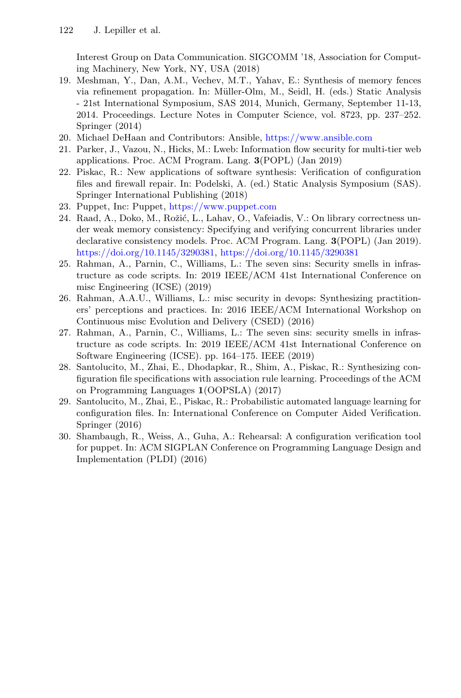Interest Group on Data Communication. SIGCOMM '18, Association for Computing Machinery, New York, NY, USA (2018)

- <span id="page-17-2"></span>19. Meshman, Y., Dan, A.M., Vechev, M.T., Yahav, E.: Synthesis of memory fences via refinement propagation. In: Müller-Olm, M., Seidl, H. (eds.) Static Analysis - 21st International Symposium, SAS 2014, Munich, Germany, September 11-13, 2014. Proceedings. Lecture Notes in Computer Science, vol. 8723, pp. 237–252. Springer (2014)
- <span id="page-17-0"></span>20. Michael DeHaan and Contributors: Ansible, [https://www](https://www.ansible.com).ansible.com
- <span id="page-17-7"></span>21. Parker, J., Vazou, N., Hicks, M.: Lweb: Information flow security for multi-tier web applications. Proc. ACM Program. Lang. 3(POPL) (Jan 2019)
- <span id="page-17-9"></span>22. Piskac, R.: New applications of software synthesis: Verification of configuration files and firewall repair. In: Podelski, A. (ed.) Static Analysis Symposium (SAS). Springer International Publishing (2018)
- <span id="page-17-1"></span>23. Puppet, Inc: Puppet, [https://www](https://www.puppet.com).puppet.com
- <span id="page-17-3"></span>24. Raad, A., Doko, M., Rožić, L., Lahav, O., Vafeiadis, V.: On library correctness under weak memory consistency: Specifying and verifying concurrent libraries under declarative consistency models. Proc. ACM Program. Lang. 3(POPL) (Jan 2019). [https://doi.org/10.1145/3290381,](https://doi.org/10.1145/3290381) https://doi.org/10.[1145/3290381](https://doi.org/10.1145/3290381)
- <span id="page-17-6"></span>25. Rahman, A., Parnin, C., Williams, L.: The seven sins: Security smells in infrastructure as code scripts. In: 2019 IEEE/ACM 41st International Conference on misc Engineering (ICSE) (2019)
- <span id="page-17-4"></span>26. Rahman, A.A.U., Williams, L.: misc security in devops: Synthesizing practitioners' perceptions and practices. In: 2016 IEEE/ACM International Workshop on Continuous misc Evolution and Delivery (CSED) (2016)
- <span id="page-17-5"></span>27. Rahman, A., Parnin, C., Williams, L.: The seven sins: security smells in infrastructure as code scripts. In: 2019 IEEE/ACM 41st International Conference on Software Engineering (ICSE). pp. 164–175. IEEE (2019)
- <span id="page-17-10"></span>28. Santolucito, M., Zhai, E., Dhodapkar, R., Shim, A., Piskac, R.: Synthesizing configuration file specifications with association rule learning. Proceedings of the ACM on Programming Languages 1(OOPSLA) (2017)
- <span id="page-17-11"></span>29. Santolucito, M., Zhai, E., Piskac, R.: Probabilistic automated language learning for configuration files. In: International Conference on Computer Aided Verification. Springer (2016)
- <span id="page-17-8"></span>30. Shambaugh, R., Weiss, A., Guha, A.: Rehearsal: A configuration verification tool for puppet. In: ACM SIGPLAN Conference on Programming Language Design and Implementation (PLDI) (2016)